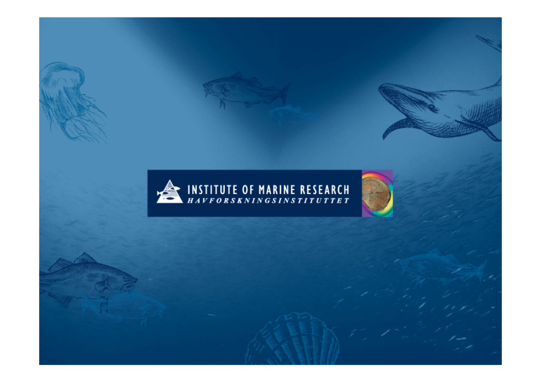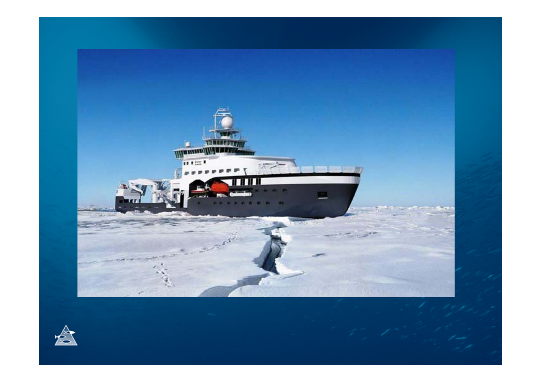

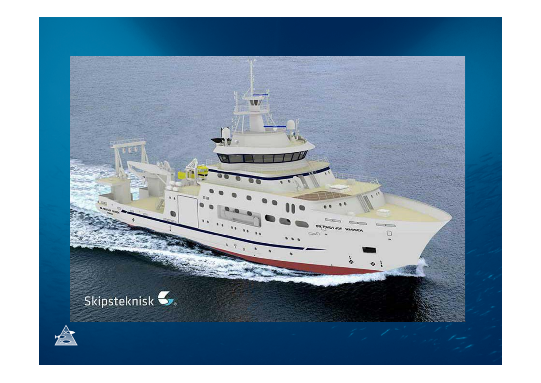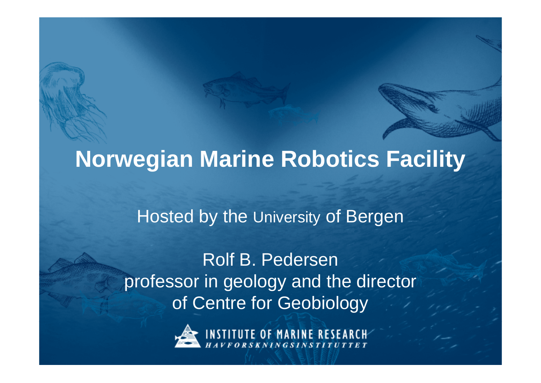## **Norwegian Marine Robotics Facility**

Hosted by the University of Bergen

Rolf B. Pedersen professor in geology and the director of Centre for Geobiology



**ITUTE OF MARINE RESEARCH**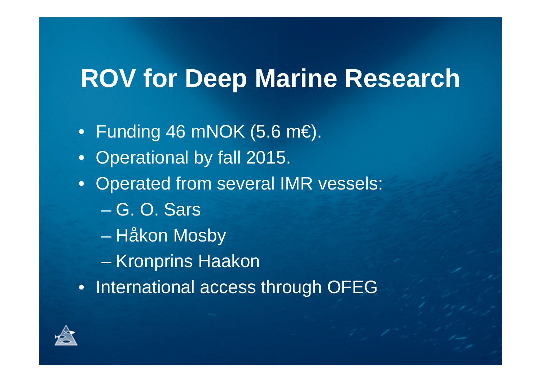## **ROV for Deep Marine Research**

- Funding 46 mNOK (5.6 m€).
- Operational by fall 2015.
- O perated from several IMR vessels:
	- G. O. Sars
	- Håkon Mosby
	- –Kronprins Haakon
- International access through OFEG

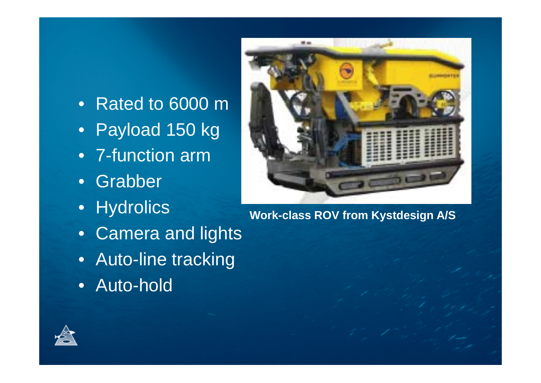- Rated to 6000 m
- Payload 150 kg
- 7-function arm
- Grabber
- Hydrolics
- Camera and lights
- Auto-line tracking
- Auto-hold



**Work-class ROV from Kystdesign A/S**

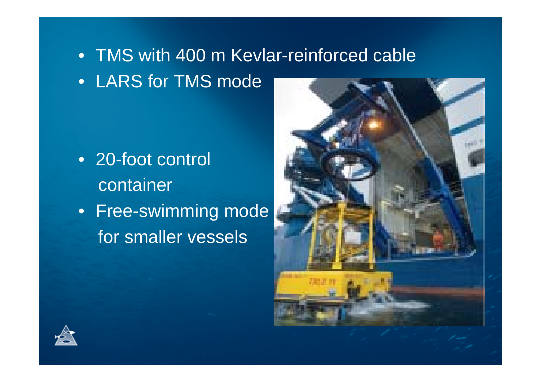- TMS with 400 m Kevlar-reinforced cable
- LARS for TMS mode

- 20-foot control container
- Free-swimming mode for smaller vessels